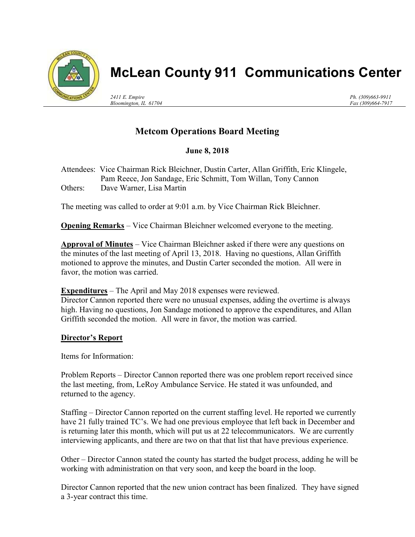

# McLean County 911 Communications Center

2411 E. Empire Bloomington, IL 61704 Ph. (309)663-9911 Fax (309)664-7917

# Metcom Operations Board Meeting

## June 8, 2018

Attendees: Vice Chairman Rick Bleichner, Dustin Carter, Allan Griffith, Eric Klingele, Pam Reece, Jon Sandage, Eric Schmitt, Tom Willan, Tony Cannon Others: Dave Warner, Lisa Martin

The meeting was called to order at 9:01 a.m. by Vice Chairman Rick Bleichner.

Opening Remarks – Vice Chairman Bleichner welcomed everyone to the meeting.

Approval of Minutes – Vice Chairman Bleichner asked if there were any questions on the minutes of the last meeting of April 13, 2018. Having no questions, Allan Griffith motioned to approve the minutes, and Dustin Carter seconded the motion. All were in favor, the motion was carried.

**Expenditures** – The April and May 2018 expenses were reviewed.

Director Cannon reported there were no unusual expenses, adding the overtime is always high. Having no questions, Jon Sandage motioned to approve the expenditures, and Allan Griffith seconded the motion. All were in favor, the motion was carried.

### Director's Report

Items for Information:

Problem Reports – Director Cannon reported there was one problem report received since the last meeting, from, LeRoy Ambulance Service. He stated it was unfounded, and returned to the agency.

Staffing – Director Cannon reported on the current staffing level. He reported we currently have 21 fully trained TC's. We had one previous employee that left back in December and is returning later this month, which will put us at 22 telecommunicators. We are currently interviewing applicants, and there are two on that that list that have previous experience.

Other – Director Cannon stated the county has started the budget process, adding he will be working with administration on that very soon, and keep the board in the loop.

Director Cannon reported that the new union contract has been finalized. They have signed a 3-year contract this time.